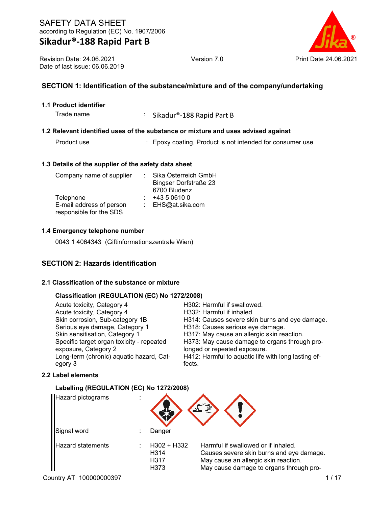## **SECTION 1: Identification of the substance/mixture and of the company/undertaking**

### **1.1 Product identifier**

Trade name : Sikadur®-188 Rapid Part B

### **1.2 Relevant identified uses of the substance or mixture and uses advised against**

Product use : Epoxy coating, Product is not intended for consumer use

### **1.3 Details of the supplier of the safety data sheet**

| Company name of supplier | Sika Österreich GmbH         |
|--------------------------|------------------------------|
|                          | <b>Bingser Dorfstraße 23</b> |
|                          | 6700 Bludenz                 |
| Telephone                | +43 5 0610 0                 |
| E-mail address of person | : EHS@at.sika.com            |
| responsible for the SDS  |                              |

### **1.4 Emergency telephone number**

0043 1 4064343 (Giftinformationszentrale Wien)

## **SECTION 2: Hazards identification**

### **2.1 Classification of the substance or mixture**

#### **Classification (REGULATION (EC) No 1272/2008)**

| Acute toxicity, Category 4                | H302: Harmful if swallowed.                         |
|-------------------------------------------|-----------------------------------------------------|
| Acute toxicity, Category 4                | H332: Harmful if inhaled.                           |
| Skin corrosion, Sub-category 1B           | H314: Causes severe skin burns and eye damage.      |
| Serious eye damage, Category 1            | H318: Causes serious eye damage.                    |
| Skin sensitisation, Category 1            | H317: May cause an allergic skin reaction.          |
| Specific target organ toxicity - repeated | H373: May cause damage to organs through pro-       |
| exposure, Category 2                      | longed or repeated exposure.                        |
| Long-term (chronic) aquatic hazard, Cat-  | H412: Harmful to aquatic life with long lasting ef- |
| egory 3                                   | fects.                                              |

### **2.2 Label elements**

### **Labelling (REGULATION (EC) No 1272/2008)**

| Hazard pictograms        |                                       |                                                                                                                                                                    |
|--------------------------|---------------------------------------|--------------------------------------------------------------------------------------------------------------------------------------------------------------------|
| Signal word              | Danger                                |                                                                                                                                                                    |
| <b>Hazard statements</b> | $H302 + H332$<br>H314<br>H317<br>H373 | Harmful if swallowed or if inhaled.<br>Causes severe skin burns and eye damage.<br>May cause an allergic skin reaction.<br>May cause damage to organs through pro- |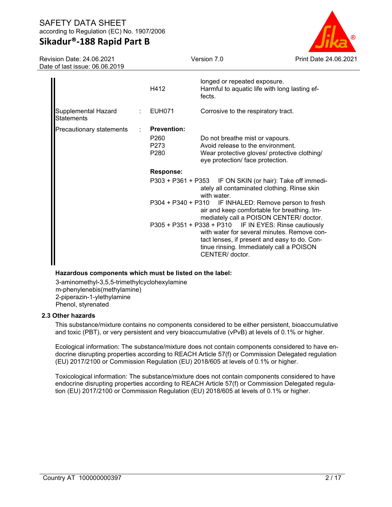# **Sikadur®-188 Rapid Part B**

Revision Date: 24.06.2021 Date of last issue: 06.06.2019



|                                   | H412                                         | longed or repeated exposure.<br>Harmful to aquatic life with long lasting ef-<br>fects.                                                                                                                              |
|-----------------------------------|----------------------------------------------|----------------------------------------------------------------------------------------------------------------------------------------------------------------------------------------------------------------------|
| Supplemental Hazard<br>Statements | EUH071                                       | Corrosive to the respiratory tract.                                                                                                                                                                                  |
| Precautionary statements          | <b>Prevention:</b>                           |                                                                                                                                                                                                                      |
|                                   | P <sub>260</sub><br>P273<br>P <sub>280</sub> | Do not breathe mist or vapours.<br>Avoid release to the environment.<br>Wear protective gloves/ protective clothing/<br>eye protection/ face protection.                                                             |
|                                   | <b>Response:</b>                             |                                                                                                                                                                                                                      |
|                                   |                                              | P303 + P361 + P353 IF ON SKIN (or hair): Take off immedi-<br>ately all contaminated clothing. Rinse skin<br>with water.                                                                                              |
|                                   |                                              | P304 + P340 + P310 IF INHALED: Remove person to fresh<br>air and keep comfortable for breathing. Im-<br>mediately call a POISON CENTER/ doctor.                                                                      |
|                                   |                                              | P305 + P351 + P338 + P310 IF IN EYES: Rinse cautiously<br>with water for several minutes. Remove con-<br>tact lenses, if present and easy to do. Con-<br>tinue rinsing. Immediately call a POISON<br>CENTER/ doctor. |

### **Hazardous components which must be listed on the label:**

3-aminomethyl-3,5,5-trimethylcyclohexylamine m-phenylenebis(methylamine) 2-piperazin-1-ylethylamine Phenol, styrenated

### **2.3 Other hazards**

This substance/mixture contains no components considered to be either persistent, bioaccumulative and toxic (PBT), or very persistent and very bioaccumulative (vPvB) at levels of 0.1% or higher.

Ecological information: The substance/mixture does not contain components considered to have endocrine disrupting properties according to REACH Article 57(f) or Commission Delegated regulation (EU) 2017/2100 or Commission Regulation (EU) 2018/605 at levels of 0.1% or higher.

Toxicological information: The substance/mixture does not contain components considered to have endocrine disrupting properties according to REACH Article 57(f) or Commission Delegated regulation (EU) 2017/2100 or Commission Regulation (EU) 2018/605 at levels of 0.1% or higher.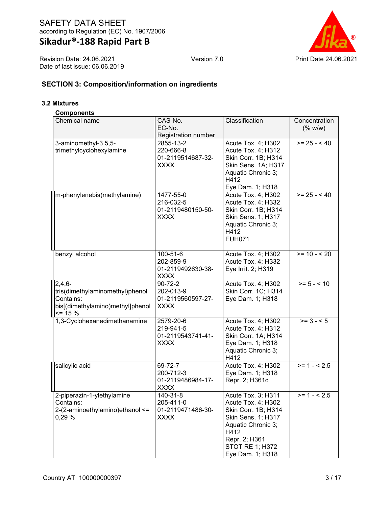Revision Date: 24.06.2021 Date of last issue: 06.06.2019



# **SECTION 3: Composition/information on ingredients**

### **3.2 Mixtures**

#### **Components**

| Chemical name                                    | CAS-No.                          | Classification                                   | Concentration                        |
|--------------------------------------------------|----------------------------------|--------------------------------------------------|--------------------------------------|
|                                                  | EC-No.                           |                                                  | (% w/w)                              |
|                                                  | Registration number<br>2855-13-2 |                                                  | $>= 25 - 40$                         |
| 3-aminomethyl-3,5,5-<br>trimethylcyclohexylamine | 220-666-8                        | Acute Tox. 4; H302<br>Acute Tox. 4; H312         |                                      |
|                                                  | 01-2119514687-32-                | Skin Corr. 1B; H314                              |                                      |
|                                                  | <b>XXXX</b>                      | Skin Sens. 1A; H317                              |                                      |
|                                                  |                                  | Aquatic Chronic 3;                               |                                      |
|                                                  |                                  | H412                                             |                                      |
|                                                  |                                  | Eye Dam. 1; H318                                 |                                      |
| m-phenylenebis(methylamine)                      | 1477-55-0                        | Acute Tox. 4; H302                               | $>= 25 - 40$                         |
|                                                  | 216-032-5                        | Acute Tox. 4; H332                               |                                      |
|                                                  | 01-2119480150-50-                | Skin Corr. 1B; H314                              |                                      |
|                                                  | <b>XXXX</b>                      | Skin Sens. 1; H317                               |                                      |
|                                                  |                                  | Aquatic Chronic 3;                               |                                      |
|                                                  |                                  | H412                                             |                                      |
|                                                  |                                  | <b>EUH071</b>                                    |                                      |
| benzyl alcohol                                   | 100-51-6                         | Acute Tox. 4; H302                               | $>= 10 - 520$                        |
|                                                  | 202-859-9                        | Acute Tox. 4; H332                               |                                      |
|                                                  | 01-2119492630-38-                | Eye Irrit. 2; H319                               |                                      |
|                                                  | <b>XXXX</b>                      |                                                  |                                      |
| $2,4,6-$                                         | $90 - 72 - 2$                    | Acute Tox. 4; H302                               | $>= 5 - < 10$                        |
| tris(dimethylaminomethyl)phenol                  | 202-013-9                        | Skin Corr. 1C; H314                              |                                      |
| Contains:                                        | 01-2119560597-27-                | Eye Dam. 1; H318                                 |                                      |
| bis[(dimethylamino)methyl]phenol<br>$\leq$ 15 %  | <b>XXXX</b>                      |                                                  |                                      |
| 1,3-Cyclohexanedimethanamine                     | 2579-20-6                        | Acute Tox. 4; H302                               | $>= 3 - 5$                           |
|                                                  | 219-941-5                        | Acute Tox. 4; H312                               |                                      |
|                                                  | 01-2119543741-41-                | Skin Corr. 1A; H314                              |                                      |
|                                                  | <b>XXXX</b>                      | Eye Dam. 1; H318<br>Aquatic Chronic 3;           |                                      |
|                                                  |                                  | H412                                             |                                      |
| salicylic acid                                   | 69-72-7                          | Acute Tox. 4; H302                               | $\overline{\phantom{2}}$ = 1 - < 2,5 |
|                                                  | 200-712-3                        | Eye Dam. 1; H318                                 |                                      |
|                                                  | 01-2119486984-17-                | Repr. 2; H361d                                   |                                      |
|                                                  | <b>XXXX</b>                      |                                                  |                                      |
| 2-piperazin-1-ylethylamine                       | 140-31-8                         | Acute Tox. 3; H311                               | $>= 1 - 2.5$                         |
| Contains:                                        | 205-411-0                        | Acute Tox. 4; H302                               |                                      |
| 2-(2-aminoethylamino) ethanol <=                 | 01-2119471486-30-<br><b>XXXX</b> | Skin Corr. 1B; H314<br><b>Skin Sens. 1; H317</b> |                                      |
| 0,29%                                            |                                  | Aquatic Chronic 3;                               |                                      |
|                                                  |                                  | H412                                             |                                      |
|                                                  |                                  | Repr. 2; H361                                    |                                      |
|                                                  |                                  | <b>STOT RE 1; H372</b>                           |                                      |
|                                                  |                                  | Eye Dam. 1; H318                                 |                                      |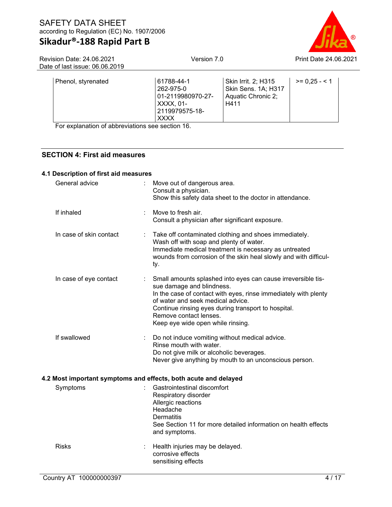

Revision Date: 24.06.2021 Date of last issue: 06.06.2019

| Phenol, styrenated | 61788-44-1<br>262-975-0<br>01-2119980970-27-<br>XXXX. 01-<br>2119979575-18- | Skin Irrit. 2; H315<br>Skin Sens. 1A; H317<br>Aquatic Chronic 2;<br>H411 | $>= 0.25 - 1$ |
|--------------------|-----------------------------------------------------------------------------|--------------------------------------------------------------------------|---------------|
|                    | <b>XXXX</b>                                                                 |                                                                          |               |

For explanation of abbreviations see section 16.

## **SECTION 4: First aid measures**

### **4.1 Description of first aid measures**

| General advice          |   | Move out of dangerous area.<br>Consult a physician.<br>Show this safety data sheet to the doctor in attendance.                                                                                                                                                                                                         |
|-------------------------|---|-------------------------------------------------------------------------------------------------------------------------------------------------------------------------------------------------------------------------------------------------------------------------------------------------------------------------|
| If inhaled              |   | Move to fresh air.<br>Consult a physician after significant exposure.                                                                                                                                                                                                                                                   |
| In case of skin contact |   | Take off contaminated clothing and shoes immediately.<br>Wash off with soap and plenty of water.<br>Immediate medical treatment is necessary as untreated<br>wounds from corrosion of the skin heal slowly and with difficul-<br>ty.                                                                                    |
| In case of eye contact  | ÷ | Small amounts splashed into eyes can cause irreversible tis-<br>sue damage and blindness.<br>In the case of contact with eyes, rinse immediately with plenty<br>of water and seek medical advice.<br>Continue rinsing eyes during transport to hospital.<br>Remove contact lenses.<br>Keep eye wide open while rinsing. |
| If swallowed            | ÷ | Do not induce vomiting without medical advice.<br>Rinse mouth with water.<br>Do not give milk or alcoholic beverages.<br>Never give anything by mouth to an unconscious person.                                                                                                                                         |
|                         |   | 4.2 Most important symptoms and effects, both acute and delayed                                                                                                                                                                                                                                                         |
| Symptoms                |   | Gastrointestinal discomfort<br>Respiratory disorder<br>Allergic reactions<br>Headache<br><b>Dermatitis</b><br>See Section 11 for more detailed information on health effects<br>and symptoms.                                                                                                                           |
| <b>Risks</b>            |   | Health injuries may be delayed.<br>corrosive effects<br>sensitising effects                                                                                                                                                                                                                                             |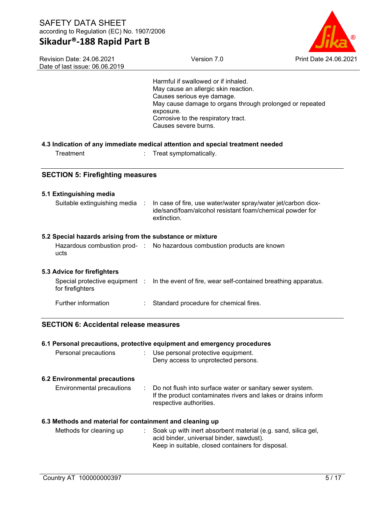# **Sikadur®-188 Rapid Part B**



Revision Date: 24.06.2021 Date of last issue: 06.06.2019

| Dalt UI Iasl Issut. UU.UU.ZU I <i>g</i>                   |                                                                                                                                                                                                                                                   |
|-----------------------------------------------------------|---------------------------------------------------------------------------------------------------------------------------------------------------------------------------------------------------------------------------------------------------|
|                                                           | Harmful if swallowed or if inhaled.<br>May cause an allergic skin reaction.<br>Causes serious eye damage.<br>May cause damage to organs through prolonged or repeated<br>exposure.<br>Corrosive to the respiratory tract.<br>Causes severe burns. |
|                                                           | 4.3 Indication of any immediate medical attention and special treatment needed                                                                                                                                                                    |
| Treatment                                                 | Treat symptomatically.                                                                                                                                                                                                                            |
| <b>SECTION 5: Firefighting measures</b>                   |                                                                                                                                                                                                                                                   |
| 5.1 Extinguishing media                                   |                                                                                                                                                                                                                                                   |
| Suitable extinguishing media :                            | In case of fire, use water/water spray/water jet/carbon diox-<br>ide/sand/foam/alcohol resistant foam/chemical powder for<br>extinction.                                                                                                          |
| 5.2 Special hazards arising from the substance or mixture |                                                                                                                                                                                                                                                   |
| ucts                                                      | Hazardous combustion prod- : No hazardous combustion products are known                                                                                                                                                                           |
| 5.3 Advice for firefighters                               |                                                                                                                                                                                                                                                   |
| for firefighters                                          | Special protective equipment : In the event of fire, wear self-contained breathing apparatus.                                                                                                                                                     |
| Further information                                       | Standard procedure for chemical fires.                                                                                                                                                                                                            |
| <b>SECTION 6: Accidental release measures</b>             |                                                                                                                                                                                                                                                   |
|                                                           | 6.1 Personal precautions, protective equipment and emergency procedures                                                                                                                                                                           |
| Personal precautions                                      | : Use personal protective equipment.<br>Deny access to unprotected persons.                                                                                                                                                                       |
| <b>6.2 Environmental precautions</b>                      |                                                                                                                                                                                                                                                   |
| <b>Environmental precautions</b>                          | Do not flush into surface water or sanitary sewer system.<br>÷<br>If the product contaminates rivers and lakes or drains inform<br>respective authorities.                                                                                        |
| 6.3 Methods and material for containment and cleaning up  |                                                                                                                                                                                                                                                   |
| Methods for cleaning up                                   | Soak up with inert absorbent material (e.g. sand, silica gel,<br>÷.<br>acid binder, universal binder, sawdust).<br>Keep in suitable, closed containers for disposal.                                                                              |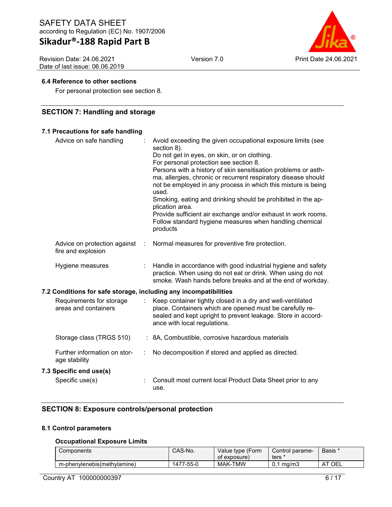# **Sikadur®-188 Rapid Part B**

Revision Date: 24.06.2021 Date of last issue: 06.06.2019



### **6.4 Reference to other sections**

For personal protection see section 8.

## **SECTION 7: Handling and storage**

## **7.1 Precautions for safe handling**

| Advice on safe handling                                          |   | Avoid exceeding the given occupational exposure limits (see<br>section 8).<br>Do not get in eyes, on skin, or on clothing.<br>For personal protection see section 8.<br>Persons with a history of skin sensitisation problems or asth-<br>ma, allergies, chronic or recurrent respiratory disease should<br>not be employed in any process in which this mixture is being<br>used.<br>Smoking, eating and drinking should be prohibited in the ap-<br>plication area.<br>Provide sufficient air exchange and/or exhaust in work rooms.<br>Follow standard hygiene measures when handling chemical<br>products |
|------------------------------------------------------------------|---|---------------------------------------------------------------------------------------------------------------------------------------------------------------------------------------------------------------------------------------------------------------------------------------------------------------------------------------------------------------------------------------------------------------------------------------------------------------------------------------------------------------------------------------------------------------------------------------------------------------|
| Advice on protection against<br>fire and explosion               | ÷ | Normal measures for preventive fire protection.                                                                                                                                                                                                                                                                                                                                                                                                                                                                                                                                                               |
| Hygiene measures                                                 |   | Handle in accordance with good industrial hygiene and safety<br>practice. When using do not eat or drink. When using do not<br>smoke. Wash hands before breaks and at the end of workday.                                                                                                                                                                                                                                                                                                                                                                                                                     |
| 7.2 Conditions for safe storage, including any incompatibilities |   |                                                                                                                                                                                                                                                                                                                                                                                                                                                                                                                                                                                                               |
| Requirements for storage<br>areas and containers                 |   | Keep container tightly closed in a dry and well-ventilated<br>place. Containers which are opened must be carefully re-<br>sealed and kept upright to prevent leakage. Store in accord-<br>ance with local regulations.                                                                                                                                                                                                                                                                                                                                                                                        |
| Storage class (TRGS 510)                                         |   | : 8A, Combustible, corrosive hazardous materials                                                                                                                                                                                                                                                                                                                                                                                                                                                                                                                                                              |
| Further information on stor-<br>age stability                    |   | No decomposition if stored and applied as directed.                                                                                                                                                                                                                                                                                                                                                                                                                                                                                                                                                           |
| 7.3 Specific end use(s)                                          |   |                                                                                                                                                                                                                                                                                                                                                                                                                                                                                                                                                                                                               |
| Specific use(s)                                                  |   | Consult most current local Product Data Sheet prior to any<br>use.                                                                                                                                                                                                                                                                                                                                                                                                                                                                                                                                            |

# **SECTION 8: Exposure controls/personal protection**

### **8.1 Control parameters**

### **Occupational Exposure Limits**

| Components                  | CAS-No.        | Value type (Form<br>of exposure) | Control parame-<br>ters ' | Basis * |
|-----------------------------|----------------|----------------------------------|---------------------------|---------|
| m-phenylenebis(methylamine) | 1477<br>7-55-0 | <b>MAK-TMW</b>                   | ma/m3<br>u.               | ⊺OEL    |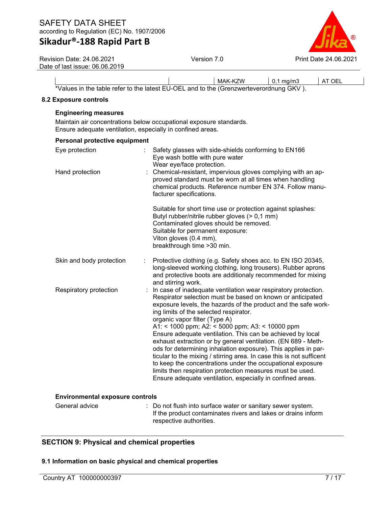# **Sikadur®-188 Rapid Part B**



Revision Date: 24.06.2021 Date of last issue: 06.06.2019

|                                                                                        | MAK-KZW | $0.1 \text{ ma/m3}$ | AT OEI |
|----------------------------------------------------------------------------------------|---------|---------------------|--------|
| *Values in the table refer to the latest EU-OEL and to the (Grenzwerteverordnung GKV). |         |                     |        |

### **8.2 Exposure controls**

## **Engineering measures**

Maintain air concentrations below occupational exposure standards. Ensure adequate ventilation, especially in confined areas.

| Personal protective equipment          |                                                                                                                                                                                                                                                                                                                                                                                                                                                                                                                                                                                                                                                                                                                                                                                                |
|----------------------------------------|------------------------------------------------------------------------------------------------------------------------------------------------------------------------------------------------------------------------------------------------------------------------------------------------------------------------------------------------------------------------------------------------------------------------------------------------------------------------------------------------------------------------------------------------------------------------------------------------------------------------------------------------------------------------------------------------------------------------------------------------------------------------------------------------|
| Eye protection<br>Hand protection      | Safety glasses with side-shields conforming to EN166<br>Eye wash bottle with pure water<br>Wear eye/face protection.<br>Chemical-resistant, impervious gloves complying with an ap-<br>proved standard must be worn at all times when handling<br>chemical products. Reference number EN 374. Follow manu-<br>facturer specifications.                                                                                                                                                                                                                                                                                                                                                                                                                                                         |
|                                        | Suitable for short time use or protection against splashes:<br>Butyl rubber/nitrile rubber gloves (> 0,1 mm)<br>Contaminated gloves should be removed.<br>Suitable for permanent exposure:<br>Viton gloves (0.4 mm),<br>breakthrough time > 30 min.                                                                                                                                                                                                                                                                                                                                                                                                                                                                                                                                            |
| Skin and body protection               | Protective clothing (e.g. Safety shoes acc. to EN ISO 20345,<br>long-sleeved working clothing, long trousers). Rubber aprons<br>and protective boots are additionaly recommended for mixing<br>and stirring work.                                                                                                                                                                                                                                                                                                                                                                                                                                                                                                                                                                              |
| Respiratory protection                 | In case of inadequate ventilation wear respiratory protection.<br>Respirator selection must be based on known or anticipated<br>exposure levels, the hazards of the product and the safe work-<br>ing limits of the selected respirator.<br>organic vapor filter (Type A)<br>A1: < 1000 ppm; A2: < 5000 ppm; A3: < 10000 ppm<br>Ensure adequate ventilation. This can be achieved by local<br>exhaust extraction or by general ventilation. (EN 689 - Meth-<br>ods for determining inhalation exposure). This applies in par-<br>ticular to the mixing / stirring area. In case this is not sufficent<br>to keep the concentrations under the occupational exposure<br>limits then respiration protection measures must be used.<br>Ensure adequate ventilation, especially in confined areas. |
| <b>Environmental exposure controls</b> |                                                                                                                                                                                                                                                                                                                                                                                                                                                                                                                                                                                                                                                                                                                                                                                                |
| General advice                         | : Do not flush into surface water or sanitary sewer system.<br>If the product contaminates rivers and lakes or drains inform<br>respective authorities.                                                                                                                                                                                                                                                                                                                                                                                                                                                                                                                                                                                                                                        |

# **SECTION 9: Physical and chemical properties**

### **9.1 Information on basic physical and chemical properties**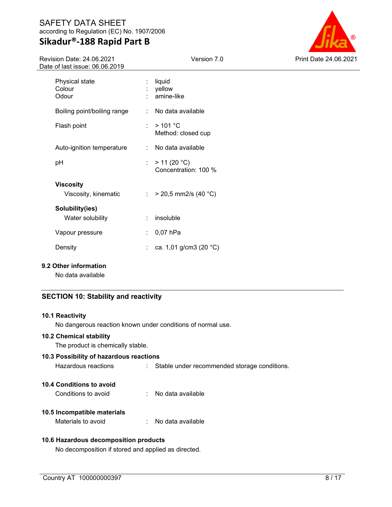Revision Date: 24.06.2021 Date of last issue: 06.06.2019



| 2018 UI 1051 ISSUB. UU.UU.ZU I |                                          |    |                                      |  |
|--------------------------------|------------------------------------------|----|--------------------------------------|--|
|                                | Physical state<br>Colour<br>Odour        |    | liquid<br>yellow<br>amine-like       |  |
|                                | Boiling point/boiling range              | ÷  | No data available                    |  |
|                                | Flash point                              | ÷. | >101 °C<br>Method: closed cup        |  |
|                                | Auto-ignition temperature                | ÷  | No data available                    |  |
|                                | рH                                       | ÷. | > 11 (20 °C)<br>Concentration: 100 % |  |
|                                | <b>Viscosity</b><br>Viscosity, kinematic |    | : > 20,5 mm2/s (40 °C)               |  |
|                                | Solubility(ies)<br>Water solubility      | ÷. | insoluble                            |  |
|                                | Vapour pressure                          | ÷. | $0,07$ hPa                           |  |
|                                | Density                                  |    | ca. 1,01 g/cm3 (20 °C)               |  |
|                                |                                          |    |                                      |  |

## **9.2 Other information**

No data available

# **SECTION 10: Stability and reactivity**

#### **10.1 Reactivity**

No dangerous reaction known under conditions of normal use.

#### **10.2 Chemical stability**

The product is chemically stable.

### **10.3 Possibility of hazardous reactions**

| Hazardous reactions |  | Stable under recommended storage conditions. |
|---------------------|--|----------------------------------------------|
|---------------------|--|----------------------------------------------|

## **10.4 Conditions to avoid**

# **10.5 Incompatible materials**

Materials to avoid : No data available

# **10.6 Hazardous decomposition products**

No decomposition if stored and applied as directed.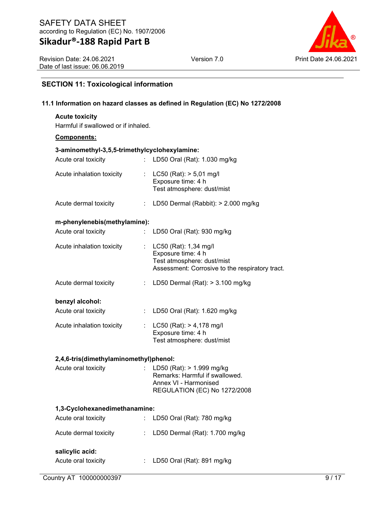Revision Date: 24.06.2021 Date of last issue: 06.06.2019



## **SECTION 11: Toxicological information**

### **11.1 Information on hazard classes as defined in Regulation (EC) No 1272/2008**

## **Acute toxicity**

Harmful if swallowed or if inhaled.

#### **Components:**

# **3-aminomethyl-3,5,5-trimethylcyclohexylamine:**

| Acute oral toxicity                    |                           | : LD50 Oral (Rat): 1.030 mg/kg                                                                                               |
|----------------------------------------|---------------------------|------------------------------------------------------------------------------------------------------------------------------|
| Acute inhalation toxicity              |                           | : $LC50$ (Rat): $> 5,01$ mg/l<br>Exposure time: 4 h<br>Test atmosphere: dust/mist                                            |
| Acute dermal toxicity                  |                           | : LD50 Dermal (Rabbit): $> 2.000$ mg/kg                                                                                      |
| m-phenylenebis(methylamine):           |                           |                                                                                                                              |
| Acute oral toxicity                    | ÷.                        | LD50 Oral (Rat): 930 mg/kg                                                                                                   |
| Acute inhalation toxicity              | $\mathbb{R}^{\mathbb{Z}}$ | LC50 (Rat): 1,34 mg/l<br>Exposure time: 4 h<br>Test atmosphere: dust/mist<br>Assessment: Corrosive to the respiratory tract. |
| Acute dermal toxicity                  |                           | : LD50 Dermal (Rat): $> 3.100$ mg/kg                                                                                         |
| benzyl alcohol:                        |                           |                                                                                                                              |
| Acute oral toxicity                    | $\mathbb{Z}^{\mathbb{Z}}$ | LD50 Oral (Rat): 1.620 mg/kg                                                                                                 |
| Acute inhalation toxicity              |                           | : LC50 (Rat): $> 4,178$ mg/l<br>Exposure time: 4 h<br>Test atmosphere: dust/mist                                             |
| 2,4,6-tris(dimethylaminomethyl)phenol: |                           |                                                                                                                              |

## Acute oral toxicity : LD50 (Rat): > 1.999 mg/kg Remarks: Harmful if swallowed. Annex VI - Harmonised REGULATION (EC) No 1272/2008

#### **1,3-Cyclohexanedimethanamine:**

| Acute oral toxicity   | : LD50 Oral (Rat): 780 mg/kg       |
|-----------------------|------------------------------------|
| Acute dermal toxicity | : LD50 Dermal (Rat): $1.700$ mg/kg |
| salicylic acid:       |                                    |
| Acute oral toxicity   | : LD50 Oral (Rat): 891 mg/kg       |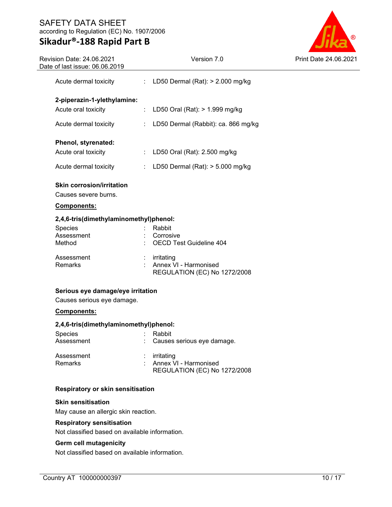# **Sikadur®-188 Rapid Part B**

L



| Revision Date: 24.06.2021<br>Date of last issue: 06.06.2019 | Version 7.0                                                         | <b>Print Date</b> |  |  |  |  |
|-------------------------------------------------------------|---------------------------------------------------------------------|-------------------|--|--|--|--|
| Acute dermal toxicity<br>÷                                  | LD50 Dermal (Rat): > 2.000 mg/kg                                    |                   |  |  |  |  |
| 2-piperazin-1-ylethylamine:                                 |                                                                     |                   |  |  |  |  |
| Acute oral toxicity                                         | LD50 Oral (Rat): > 1.999 mg/kg                                      |                   |  |  |  |  |
| Acute dermal toxicity                                       | LD50 Dermal (Rabbit): ca. 866 mg/kg                                 |                   |  |  |  |  |
| Phenol, styrenated:                                         |                                                                     |                   |  |  |  |  |
| Acute oral toxicity<br>÷.                                   | LD50 Oral (Rat): 2.500 mg/kg                                        |                   |  |  |  |  |
| Acute dermal toxicity<br>$\mathbb{Z}^{\times}$              | LD50 Dermal (Rat): $>$ 5.000 mg/kg                                  |                   |  |  |  |  |
| <b>Skin corrosion/irritation</b><br>Causes severe burns.    |                                                                     |                   |  |  |  |  |
| <u>Components:</u>                                          |                                                                     |                   |  |  |  |  |
|                                                             | 2,4,6-tris(dimethylaminomethyl)phenol:                              |                   |  |  |  |  |
| Species<br>Assessment<br>Method                             | Rabbit<br>Corrosive<br><b>OECD Test Guideline 404</b>               |                   |  |  |  |  |
| Assessment<br>Remarks                                       | irritating<br>Annex VI - Harmonised<br>REGULATION (EC) No 1272/2008 |                   |  |  |  |  |
|                                                             | Serious eye damage/eye irritation                                   |                   |  |  |  |  |
| Causes serious eye damage.                                  |                                                                     |                   |  |  |  |  |
|                                                             | Components:                                                         |                   |  |  |  |  |
| 2,4,6-tris(dimethylaminomethyl)phenol:<br>Species           |                                                                     |                   |  |  |  |  |
| Assessment                                                  | Rabbit<br>Causes serious eye damage.                                |                   |  |  |  |  |
| Assessment<br>$\cdot$<br>Remarks                            | irritating<br>Annex VI - Harmonised<br>REGULATION (EC) No 1272/2008 |                   |  |  |  |  |

# **Respiratory or skin sensitisation**

### **Skin sensitisation**

May cause an allergic skin reaction.

## **Respiratory sensitisation**

Not classified based on available information.

### **Germ cell mutagenicity**

Not classified based on available information.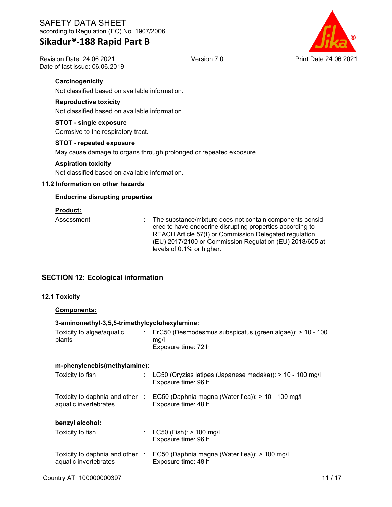Revision Date: 24.06.2021 Date of last issue: 06.06.2019



### **Carcinogenicity**

Not classified based on available information.

## **Reproductive toxicity**

Not classified based on available information.

### **STOT - single exposure**

Corrosive to the respiratory tract.

### **STOT - repeated exposure**

May cause damage to organs through prolonged or repeated exposure.

### **Aspiration toxicity**

Not classified based on available information.

### **11.2 Information on other hazards**

### **Endocrine disrupting properties**

### **Product:**

Assessment : The substance/mixture does not contain components considered to have endocrine disrupting properties according to REACH Article 57(f) or Commission Delegated regulation (EU) 2017/2100 or Commission Regulation (EU) 2018/605 at levels of 0.1% or higher.

## **SECTION 12: Ecological information**

### **12.1 Toxicity**

## **Components:**

### **3-aminomethyl-3,5,5-trimethylcyclohexylamine:**

| Toxicity to algae/aquatic<br>plants                      | $\mathcal{L}$ | ErC50 (Desmodesmus subspicatus (green algae)): > 10 - 100<br>mq/l<br>Exposure time: 72 h                  |
|----------------------------------------------------------|---------------|-----------------------------------------------------------------------------------------------------------|
| m-phenylenebis(methylamine):                             |               |                                                                                                           |
| Toxicity to fish                                         |               | LC50 (Oryzias latipes (Japanese medaka)): $> 10 - 100$ mg/l<br>Exposure time: 96 h                        |
| aquatic invertebrates                                    |               | Toxicity to daphnia and other : EC50 (Daphnia magna (Water flea)): > 10 - 100 mg/l<br>Exposure time: 48 h |
| benzyl alcohol:                                          |               |                                                                                                           |
| Toxicity to fish                                         | ÷.            | $LC50$ (Fish): $> 100$ mg/l<br>Exposure time: 96 h                                                        |
| Toxicity to daphnia and other :<br>aquatic invertebrates |               | EC50 (Daphnia magna (Water flea)): > 100 mg/l<br>Exposure time: 48 h                                      |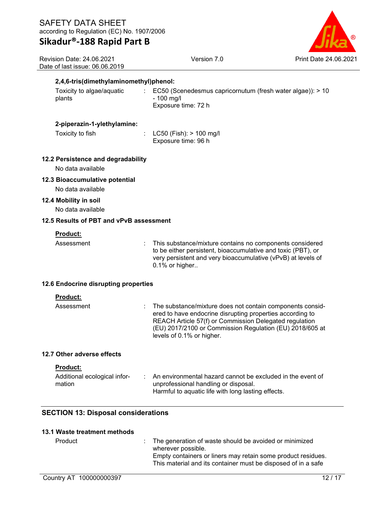| ®                     |
|-----------------------|
| Print Date 24.06.2021 |

| <b>Revision Date: 24.06.2021</b> |
|----------------------------------|
| Date of last issue: 06.06.2019   |
|                                  |

Version 7.0

Toxicity to algae/aquatic plants : EC50 (Scenedesmus capricornutum (fresh water algae)): > 10 - 100 mg/l Exposure time: 72 h

### **2-piperazin-1-ylethylamine:**

Toxicity to fish : LC50 (Fish): > 100 mg/l Exposure time: 96 h

### **12.2 Persistence and degradability**

No data available

### **12.3 Bioaccumulative potential**

No data available

### **12.4 Mobility in soil**

No data available

### **12.5 Results of PBT and vPvB assessment**

### **Product:**

Assessment : This substance/mixture contains no components considered to be either persistent, bioaccumulative and toxic (PBT), or very persistent and very bioaccumulative (vPvB) at levels of 0.1% or higher..

### **12.6 Endocrine disrupting properties**

#### **Product:**

| Assessment | : The substance/mixture does not contain components consid-<br>ered to have endocrine disrupting properties according to<br>REACH Article 57(f) or Commission Delegated regulation<br>(EU) 2017/2100 or Commission Regulation (EU) 2018/605 at<br>levels of 0.1% or higher. |
|------------|-----------------------------------------------------------------------------------------------------------------------------------------------------------------------------------------------------------------------------------------------------------------------------|
|            |                                                                                                                                                                                                                                                                             |

### **12.7 Other adverse effects**

#### **Product:**

| Additional ecological infor-<br>mation | An environmental hazard cannot be excluded in the event of<br>unprofessional handling or disposal. |
|----------------------------------------|----------------------------------------------------------------------------------------------------|
|                                        | Harmful to aquatic life with long lasting effects.                                                 |

## **SECTION 13: Disposal considerations**

### **13.1 Waste treatment methods**

| Product | : The generation of waste should be avoided or minimized      |
|---------|---------------------------------------------------------------|
|         | wherever possible.                                            |
|         | Empty containers or liners may retain some product residues.  |
|         | This material and its container must be disposed of in a safe |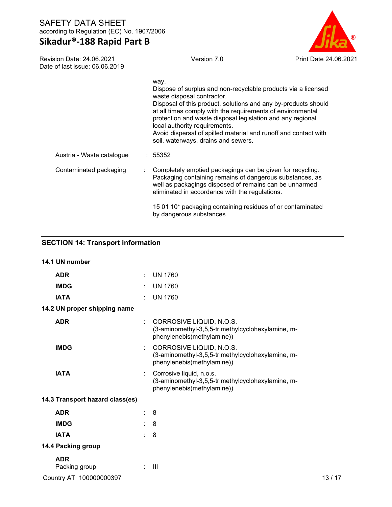# **Sikadur®-188 Rapid Part B**

Revision Date: 24.06.2021

 $\overline{a}$ 

Version 7.0 Print Date 24.06.2021

| Date of last issue: 06.06.2019 |  |                                                                                                                                                                                                                                                                                                                                                                                                                                              |  |  |
|--------------------------------|--|----------------------------------------------------------------------------------------------------------------------------------------------------------------------------------------------------------------------------------------------------------------------------------------------------------------------------------------------------------------------------------------------------------------------------------------------|--|--|
|                                |  | way.<br>Dispose of surplus and non-recyclable products via a licensed<br>waste disposal contractor.<br>Disposal of this product, solutions and any by-products should<br>at all times comply with the requirements of environmental<br>protection and waste disposal legislation and any regional<br>local authority requirements.<br>Avoid dispersal of spilled material and runoff and contact with<br>soil, waterways, drains and sewers. |  |  |
| Austria - Waste catalogue      |  | : 55352                                                                                                                                                                                                                                                                                                                                                                                                                                      |  |  |
| Contaminated packaging         |  | Completely emptied packagings can be given for recycling.<br>Packaging containing remains of dangerous substances, as<br>well as packagings disposed of remains can be unharmed<br>eliminated in accordance with the regulations.                                                                                                                                                                                                            |  |  |
|                                |  | 15 01 10* packaging containing residues of or contaminated<br>by dangerous substances                                                                                                                                                                                                                                                                                                                                                        |  |  |

# **SECTION 14: Transport information**

| 14.1 UN number                  |        |                                                                                                             |
|---------------------------------|--------|-------------------------------------------------------------------------------------------------------------|
| <b>ADR</b>                      | ÷      | <b>UN 1760</b>                                                                                              |
| <b>IMDG</b>                     |        | <b>UN 1760</b>                                                                                              |
| <b>IATA</b>                     |        | <b>UN 1760</b>                                                                                              |
| 14.2 UN proper shipping name    |        |                                                                                                             |
| <b>ADR</b>                      | ÷      | CORROSIVE LIQUID, N.O.S.<br>(3-aminomethyl-3,5,5-trimethylcyclohexylamine, m-<br>phenylenebis(methylamine)) |
| <b>IMDG</b>                     | ÷      | CORROSIVE LIQUID, N.O.S.<br>(3-aminomethyl-3,5,5-trimethylcyclohexylamine, m-<br>phenylenebis(methylamine)) |
| <b>IATA</b>                     | ÷      | Corrosive liquid, n.o.s.<br>(3-aminomethyl-3,5,5-trimethylcyclohexylamine, m-<br>phenylenebis(methylamine)) |
| 14.3 Transport hazard class(es) |        |                                                                                                             |
| <b>ADR</b>                      |        | 8                                                                                                           |
| <b>IMDG</b>                     | $\sim$ | 8                                                                                                           |
| <b>IATA</b>                     | $\sim$ | -8                                                                                                          |
| 14.4 Packing group              |        |                                                                                                             |
| <b>ADR</b><br>Packing group     | ÷      | $\mathbf{III}$                                                                                              |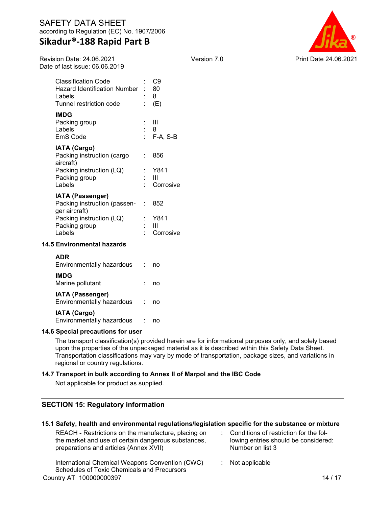Revision Date: 24.06.2021 Date of last issue: 06.06.2019



| <b>IATA (Passenger)</b>                                                                          |    |                        |
|--------------------------------------------------------------------------------------------------|----|------------------------|
| Packing instruction (LQ)<br>Packing group<br>Labels                                              |    | Y841<br>Ш<br>Corrosive |
| <b>IATA (Cargo)</b><br>Packing instruction (cargo<br>aircraft)                                   | ٠. | 856                    |
| <b>IMDG</b><br>Packing group<br>Labels<br>EmS Code                                               |    | Ш<br>: 8<br>: F-A, S-B |
| <b>Classification Code</b><br>Hazard Identification Number:<br>Labels<br>Tunnel restriction code |    | C9<br>80<br>8<br>(E)   |
|                                                                                                  |    |                        |

| I                                  |             |
|------------------------------------|-------------|
| Packing instruction (passen- : 852 |             |
| ger aircraft)                      |             |
| Packing instruction (LQ)           | : Y841      |
| Packing group                      | Ш           |
| Labels                             | : Corrosive |

### **14.5 Environmental hazards**

| <b>ADR</b><br>Environmentally hazardous              | no |
|------------------------------------------------------|----|
| <b>IMDG</b><br>Marine pollutant                      | no |
| <b>IATA (Passenger)</b><br>Environmentally hazardous | no |
| <b>IATA (Cargo)</b><br>Environmentally hazardous     |    |

### **14.6 Special precautions for user**

The transport classification(s) provided herein are for informational purposes only, and solely based upon the properties of the unpackaged material as it is described within this Safety Data Sheet. Transportation classifications may vary by mode of transportation, package sizes, and variations in regional or country regulations.

### **14.7 Transport in bulk according to Annex II of Marpol and the IBC Code**

Not applicable for product as supplied.

## **SECTION 15: Regulatory information**

### **15.1 Safety, health and environmental regulations/legislation specific for the substance or mixture**

REACH - Restrictions on the manufacture, placing on the market and use of certain dangerous substances, preparations and articles (Annex XVII)

: Conditions of restriction for the following entries should be considered: Number on list 3

: Not applicable

International Chemical Weapons Convention (CWC) Schedules of Toxic Chemicals and Precursors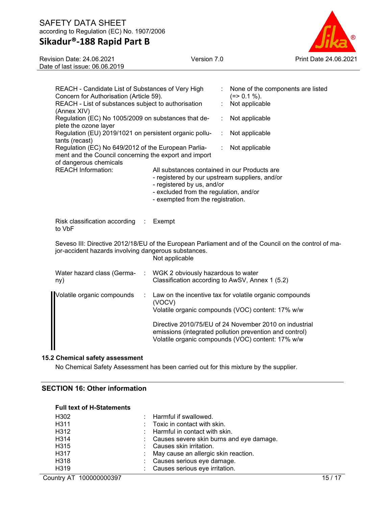# **Sikadur®-188 Rapid Part B**



Revision Date: 24.06.2021 Date of last issue: 06.06.2019

| REACH - Candidate List of Substances of Very High<br>Concern for Authorisation (Article 59).<br>REACH - List of substances subject to authorisation<br>(Annex XIV)<br>Regulation (EC) No 1005/2009 on substances that de- |                                                                                                                                                                                                             | None of the components are listed<br>$(=>0.1\%).$<br>Not applicable<br>Not applicable                                                                                  |                                                                                                      |  |  |  |
|---------------------------------------------------------------------------------------------------------------------------------------------------------------------------------------------------------------------------|-------------------------------------------------------------------------------------------------------------------------------------------------------------------------------------------------------------|------------------------------------------------------------------------------------------------------------------------------------------------------------------------|------------------------------------------------------------------------------------------------------|--|--|--|
| plete the ozone layer<br>Regulation (EU) 2019/1021 on persistent organic pollu-<br>tants (recast)                                                                                                                         |                                                                                                                                                                                                             |                                                                                                                                                                        | Not applicable                                                                                       |  |  |  |
| Regulation (EC) No 649/2012 of the European Parlia-<br>ment and the Council concerning the export and import<br>of dangerous chemicals                                                                                    |                                                                                                                                                                                                             |                                                                                                                                                                        | Not applicable                                                                                       |  |  |  |
| <b>REACH Information:</b>                                                                                                                                                                                                 | All substances contained in our Products are<br>- registered by our upstream suppliers, and/or<br>- registered by us, and/or<br>- excluded from the regulation, and/or<br>- exempted from the registration. |                                                                                                                                                                        |                                                                                                      |  |  |  |
| Risk classification according :<br>to VbF                                                                                                                                                                                 | Exempt                                                                                                                                                                                                      |                                                                                                                                                                        |                                                                                                      |  |  |  |
| jor-accident hazards involving dangerous substances.                                                                                                                                                                      | Not applicable                                                                                                                                                                                              |                                                                                                                                                                        | Seveso III: Directive 2012/18/EU of the European Parliament and of the Council on the control of ma- |  |  |  |
| Water hazard class (Germa-<br>$\mathcal{L}$<br>ny)                                                                                                                                                                        | WGK 2 obviously hazardous to water<br>Classification according to AwSV, Annex 1 (5.2)                                                                                                                       |                                                                                                                                                                        |                                                                                                      |  |  |  |
| Volatile organic compounds<br>÷                                                                                                                                                                                           | (VOCV)                                                                                                                                                                                                      | Law on the incentive tax for volatile organic compounds<br>Volatile organic compounds (VOC) content: 17% w/w                                                           |                                                                                                      |  |  |  |
|                                                                                                                                                                                                                           |                                                                                                                                                                                                             | Directive 2010/75/EU of 24 November 2010 on industrial<br>emissions (integrated pollution prevention and control)<br>Volatile organic compounds (VOC) content: 17% w/w |                                                                                                      |  |  |  |

## **15.2 Chemical safety assessment**

No Chemical Safety Assessment has been carried out for this mixture by the supplier.

## **SECTION 16: Other information**

#### **Full text of H-Statements**

| H302              | : Harmful if swallowed.                    |
|-------------------|--------------------------------------------|
| H <sub>3</sub> 11 | $\therefore$ Toxic in contact with skin.   |
| H312              | $\therefore$ Harmful in contact with skin. |
| H314              | : Causes severe skin burns and eye damage. |
| H315              | : Causes skin irritation.                  |
| H317              | : May cause an allergic skin reaction.     |
| H318              | : Causes serious eye damage.               |
| H319              | : Causes serious eye irritation.           |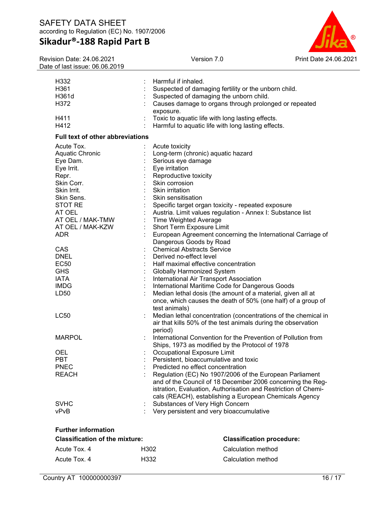Revision Date: 24.06.2021 Date of last issue: 06.06.2019



| H <sub>3</sub> 32<br>H361<br>H361d      |                | Harmful if inhaled.<br>Suspected of damaging fertility or the unborn child.<br>Suspected of damaging the unborn child.                       |
|-----------------------------------------|----------------|----------------------------------------------------------------------------------------------------------------------------------------------|
| H372<br>H411                            |                | Causes damage to organs through prolonged or repeated<br>exposure.<br>Toxic to aquatic life with long lasting effects.                       |
| H412                                    |                | Harmful to aquatic life with long lasting effects.                                                                                           |
| <b>Full text of other abbreviations</b> |                |                                                                                                                                              |
| Acute Tox.                              |                | Acute toxicity                                                                                                                               |
| Aquatic Chronic                         |                | Long-term (chronic) aquatic hazard                                                                                                           |
| Eye Dam.                                |                | Serious eye damage                                                                                                                           |
| Eye Irrit.                              |                | Eye irritation                                                                                                                               |
| Repr.                                   |                | Reproductive toxicity                                                                                                                        |
| Skin Corr.<br>Skin Irrit.               |                | Skin corrosion<br>Skin irritation                                                                                                            |
| Skin Sens.                              |                | Skin sensitisation                                                                                                                           |
| STOT RE                                 |                | Specific target organ toxicity - repeated exposure                                                                                           |
| AT OEL                                  |                | Austria. Limit values regulation - Annex I: Substance list                                                                                   |
| AT OEL / MAK-TMW                        | $\mathbb{Z}^+$ | <b>Time Weighted Average</b>                                                                                                                 |
| AT OEL / MAK-KZW                        |                | Short Term Exposure Limit                                                                                                                    |
| <b>ADR</b>                              |                | European Agreement concerning the International Carriage of                                                                                  |
|                                         |                | Dangerous Goods by Road                                                                                                                      |
| <b>CAS</b>                              |                | <b>Chemical Abstracts Service</b>                                                                                                            |
| <b>DNEL</b>                             |                | Derived no-effect level                                                                                                                      |
| <b>EC50</b>                             |                | Half maximal effective concentration                                                                                                         |
| <b>GHS</b>                              |                | <b>Globally Harmonized System</b>                                                                                                            |
| <b>IATA</b>                             |                | International Air Transport Association                                                                                                      |
| <b>IMDG</b>                             |                | International Maritime Code for Dangerous Goods                                                                                              |
| LD <sub>50</sub>                        |                | Median lethal dosis (the amount of a material, given all at<br>once, which causes the death of 50% (one half) of a group of<br>test animals) |
| LC50                                    | ÷              | Median lethal concentration (concentrations of the chemical in                                                                               |
|                                         |                | air that kills 50% of the test animals during the observation                                                                                |
|                                         |                | period)                                                                                                                                      |
| <b>MARPOL</b>                           |                | International Convention for the Prevention of Pollution from<br>Ships, 1973 as modified by the Protocol of 1978                             |
| <b>OEL</b>                              |                | Occupational Exposure Limit                                                                                                                  |
| PBT                                     |                | Persistent, bioaccumulative and toxic                                                                                                        |
| <b>PNEC</b>                             |                | Predicted no effect concentration                                                                                                            |
| <b>REACH</b>                            |                | Regulation (EC) No 1907/2006 of the European Parliament<br>and of the Council of 18 December 2006 concerning the Reg-                        |
|                                         |                | istration, Evaluation, Authorisation and Restriction of Chemi-                                                                               |
| <b>SVHC</b>                             |                | cals (REACH), establishing a European Chemicals Agency<br>Substances of Very High Concern                                                    |
| vPvB                                    |                | Very persistent and very bioaccumulative                                                                                                     |
|                                         |                |                                                                                                                                              |

| <b>Further information</b>            |                                  |                    |  |  |  |  |
|---------------------------------------|----------------------------------|--------------------|--|--|--|--|
| <b>Classification of the mixture:</b> | <b>Classification procedure:</b> |                    |  |  |  |  |
| Acute Tox, 4                          | H302                             | Calculation method |  |  |  |  |
| Acute Tox. 4                          | H332                             | Calculation method |  |  |  |  |